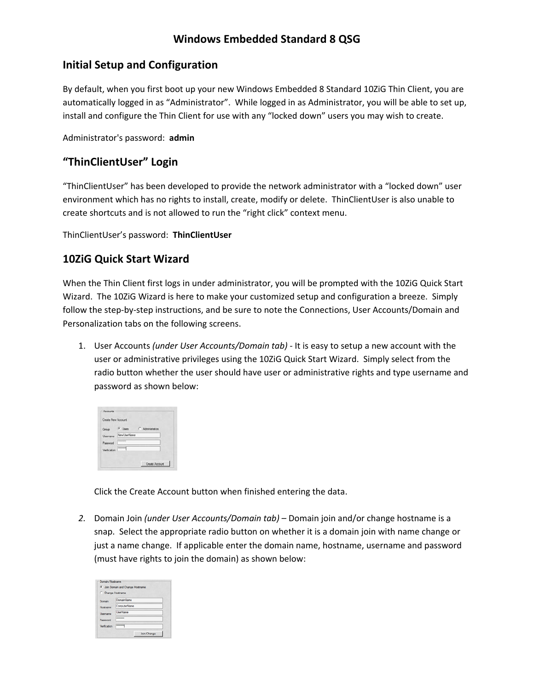# **Windows Embedded Standard 8 QSG**

## **Initial Setup and Configuration**

By default, when you first boot up your new Windows Embedded 8 Standard 10ZiG Thin Client, you are automatically logged in as "Administrator". While logged in as Administrator, you will be able to set up, install and configure the Thin Client for use with any "locked down" users you may wish to create.

Administrator's password: **admin**

### **"ThinClientUser" Login**

"ThinClientUser" has been developed to provide the network administrator with a "locked down" user environment which has no rights to install, create, modify or delete. ThinClientUser is also unable to create shortcuts and is not allowed to run the "right click" context menu.

ThinClientUser's password: **ThinClientUser** 

#### **10ZiG Quick Start Wizard**

When the Thin Client first logs in under administrator, you will be prompted with the 10ZiG Quick Start Wizard. The 10ZiG Wizard is here to make your customized setup and configuration a breeze. Simply follow the step-by-step instructions, and be sure to note the Connections, User Accounts/Domain and Personalization tabs on the following screens.

1. User Accounts *(under User Accounts/Domain tab) ‐* It is easy to setup a new account with the user or administrative privileges using the 10ZiG Quick Start Wizard. Simply select from the radio button whether the user should have user or administrative rights and type username and password as shown below:

| Group       | G Users C Administrators |
|-------------|--------------------------|
| bemane      | New UserName             |
| Password    |                          |
| Verfication | ----                     |

Click the Create Account button when finished entering the data.

*2.* Domain Join *(under User Accounts/Domain tab) –* Domain join and/or change hostname is a snap. Select the appropriate radio button on whether it is a domain join with name change or just a name change. If applicable enter the domain name, hostname, username and password (must have rights to join the domain) as shown below:

|                   | <b>C</b> Join Domain and Change Hostname |
|-------------------|------------------------------------------|
| C Change Hostname |                                          |
| Domain            | DomainName                               |
| Hostname          | ComputerName                             |
| Usercame          | <b>UserName</b>                          |
| Passwort          | --------                                 |
|                   |                                          |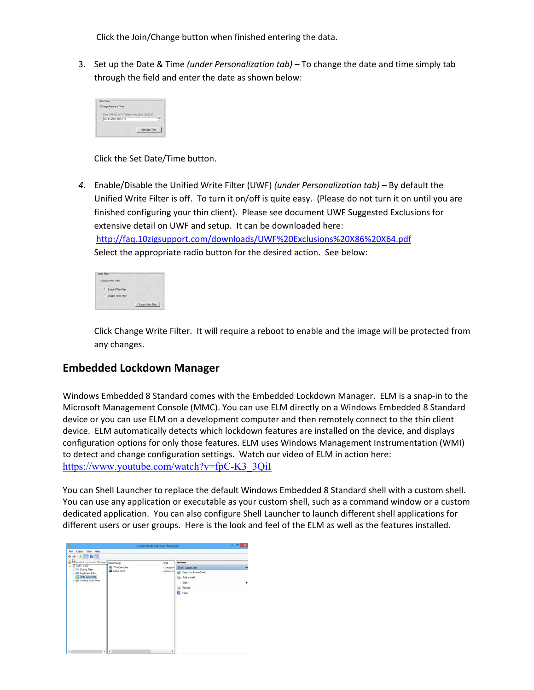Click the Join/Change button when finished entering the data.

3. Set up the Date & Time *(under Personalization tab) –* To change the date and time simply tab through the field and enter the date as shown below:

| 06/13/2016 10:12:19 |  |  |
|---------------------|--|--|
|---------------------|--|--|

Click the Set Date/Time button.

*4.* Enable/Disable the Unified Write Filter (UWF) *(under Personalization tab)* – By default the Unified Write Filter is off. To turn it on/off is quite easy. (Please do not turn it on until you are finished configuring your thin client). Please see document UWF Suggested Exclusions for extensive detail on UWF and setup. It can be downloaded here:

http://faq.10zigsupport.com/downloads/UWF%20Exclusions%20X86%20X64.pdf Select the appropriate radio button for the desired action. See below:

Click Change Write Filter. It will require a reboot to enable and the image will be protected from any changes.

## **Embedded Lockdown Manager**

Windows Embedded 8 Standard comes with the Embedded Lockdown Manager. ELM is a snap-in to the Microsoft Management Console (MMC). You can use ELM directly on a Windows Embedded 8 Standard device or you can use ELM on a development computer and then remotely connect to the thin client device. ELM automatically detects which lockdown features are installed on the device, and displays configuration options for only those features. ELM uses Windows Management Instrumentation (WMI) to detect and change configuration settings. Watch our video of ELM in action here: https://www.youtube.com/watch?v=fpC-K3\_3QiI

You can Shell Launcher to replace the default Windows Embedded 8 Standard shell with a custom shell. You can use any application or executable as your custom shell, such as a command window or a custom dedicated application. You can also configure Shell Launcher to launch different shell applications for different users or user groups. Here is the look and feel of the ELM as well as the features installed.

| <b>Actions</b><br>Shell Launcher<br>c'orogan)<br>explorer exc<br><b>B</b> Isport to Power Shell<br>Fo. Add a shell<br>View<br>a<br>Refresh<br><b>B</b> Help |
|-------------------------------------------------------------------------------------------------------------------------------------------------------------|
| ×                                                                                                                                                           |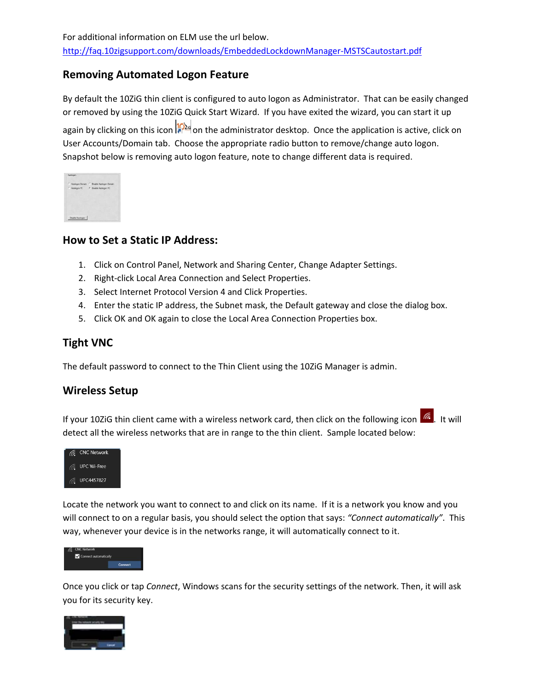## **Removing Automated Logon Feature**

By default the 10ZiG thin client is configured to auto logon as Administrator. That can be easily changed or removed by using the 10ZiG Quick Start Wizard. If you have exited the wizard, you can start it up again by clicking on this icon **10**<sub>24</sub> on the administrator desktop. Once the application is active, click on User Accounts/Domain tab. Choose the appropriate radio button to remove/change auto logon. Snapshot below is removing auto logon feature, note to change different data is required.

|  | C Autologon Domain C Disable Autologon Domain |
|--|-----------------------------------------------|
|  | C Autologon PC    Quable Autologon PC         |
|  |                                               |
|  |                                               |
|  |                                               |

### **How to Set a Static IP Address:**

- 1. Click on Control Panel, Network and Sharing Center, Change Adapter Settings.
- 2. Right‐click Local Area Connection and Select Properties.
- 3. Select Internet Protocol Version 4 and Click Properties.
- 4. Enter the static IP address, the Subnet mask, the Default gateway and close the dialog box.
- 5. Click OK and OK again to close the Local Area Connection Properties box.

# **Tight VNC**

The default password to connect to the Thin Client using the 10ZiG Manager is admin.

## **Wireless Setup**

If your 10ZiG thin client came with a wireless network card, then click on the following icon  $\frac{1}{16}$ . It will detect all the wireless networks that are in range to the thin client. Sample located below:



Locate the network you want to connect to and click on its name. If it is a network you know and you will connect to on a regular basis, you should select the option that says: *"Connect automatically"*. This way, whenever your device is in the networks range, it will automatically connect to it.



Once you click or tap *Connect*, Windows scans for the security settings of the network. Then, it will ask you for its security key.